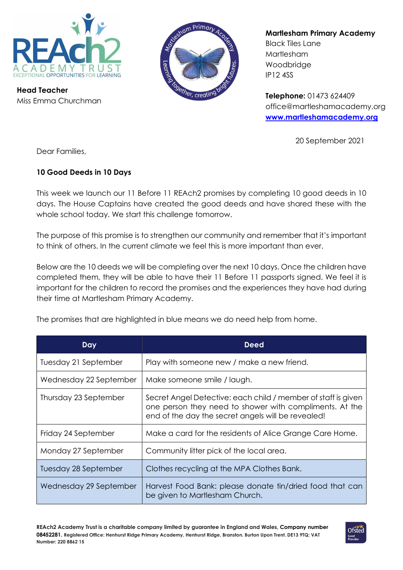

Head Teacher Miss Emma Churchman



Martlesham Primary Academy

Black Tiles Lane Martlesham Woodbridge IP12 4SS

Telephone: 01473 624409 office@martleshamacademy.org www.martleshamacademy.org

20 September 2021

Dear Families,

## 10 Good Deeds in 10 Days

This week we launch our 11 Before 11 REAch2 promises by completing 10 good deeds in 10 days. The House Captains have created the good deeds and have shared these with the whole school today. We start this challenge tomorrow.

The purpose of this promise is to strengthen our community and remember that it's important to think of others. In the current climate we feel this is more important than ever.

Below are the 10 deeds we will be completing over the next 10 days. Once the children have completed them, they will be able to have their 11 Before 11 passports signed. We feel it is important for the children to record the promises and the experiences they have had during their time at Martlesham Primary Academy.

The promises that are highlighted in blue means we do need help from home.

| Day                    | <b>Deed</b>                                                                                                                                                                    |
|------------------------|--------------------------------------------------------------------------------------------------------------------------------------------------------------------------------|
| Tuesday 21 September   | Play with someone new / make a new friend.                                                                                                                                     |
| Wednesday 22 September | Make someone smile / laugh.                                                                                                                                                    |
| Thursday 23 September  | Secret Angel Detective: each child / member of staff is given<br>one person they need to shower with compliments. At the<br>end of the day the secret angels will be revealed! |
| Friday 24 September    | Make a card for the residents of Alice Grange Care Home.                                                                                                                       |
| Monday 27 September    | Community litter pick of the local area.                                                                                                                                       |
| Tuesday 28 September   | Clothes recycling at the MPA Clothes Bank.                                                                                                                                     |
| Wednesday 29 September | Harvest Food Bank: please donate tin/dried food that can<br>be given to Martlesham Church.                                                                                     |